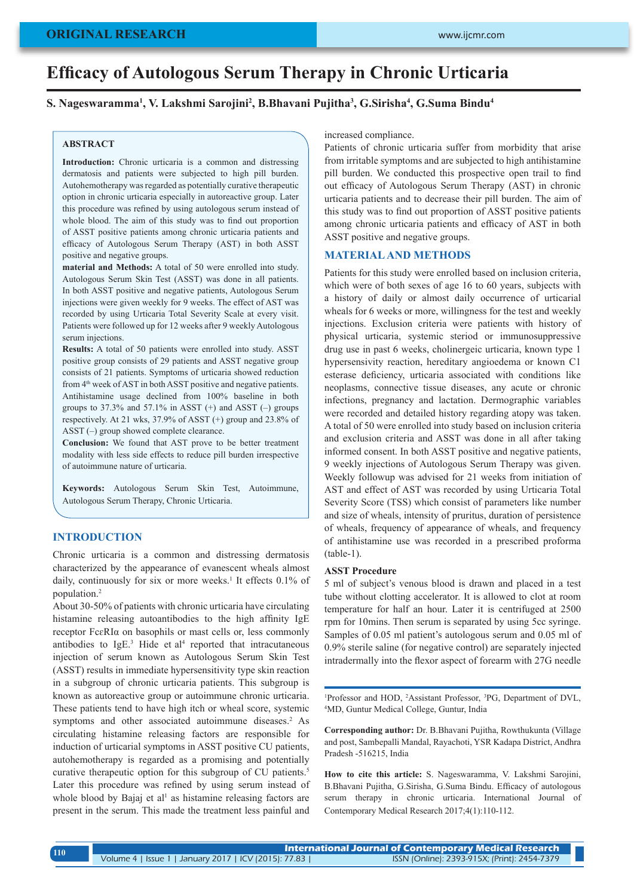#### **ORIGINAL RESEARCH**

# **Efficacy of Autologous Serum Therapy in Chronic Urticaria**

## **S. Nageswaramma<sup>1</sup> , V. Lakshmi Sarojini<sup>2</sup> , B.Bhavani Pujitha<sup>3</sup> , G.Sirisha<sup>4</sup> , G.Suma Bindu<sup>4</sup>**

### **ABSTRACT**

**Introduction:** Chronic urticaria is a common and distressing dermatosis and patients were subjected to high pill burden. Autohemotherapy was regarded as potentially curative therapeutic option in chronic urticaria especially in autoreactive group. Later this procedure was refined by using autologous serum instead of whole blood. The aim of this study was to find out proportion of ASST positive patients among chronic urticaria patients and efficacy of Autologous Serum Therapy (AST) in both ASST positive and negative groups.

**material and Methods:** A total of 50 were enrolled into study. Autologous Serum Skin Test (ASST) was done in all patients. In both ASST positive and negative patients, Autologous Serum injections were given weekly for 9 weeks. The effect of AST was recorded by using Urticaria Total Severity Scale at every visit. Patients were followed up for 12 weeks after 9 weekly Autologous serum injections.

**Results:** A total of 50 patients were enrolled into study. ASST positive group consists of 29 patients and ASST negative group consists of 21 patients. Symptoms of urticaria showed reduction from 4<sup>th</sup> week of AST in both ASST positive and negative patients. Antihistamine usage declined from 100% baseline in both groups to  $37.3\%$  and  $57.1\%$  in ASST (+) and ASST (-) groups respectively. At 21 wks, 37.9% of ASST (+) group and 23.8% of ASST (–) group showed complete clearance.

**Conclusion:** We found that AST prove to be better treatment modality with less side effects to reduce pill burden irrespective of autoimmune nature of urticaria.

**Keywords:** Autologous Serum Skin Test, Autoimmune, Autologous Serum Therapy, Chronic Urticaria.

#### **INTRODUCTION**

Chronic urticaria is a common and distressing dermatosis characterized by the appearance of evanescent wheals almost daily, continuously for six or more weeks.<sup>1</sup> It effects 0.1% of population.<sup>2</sup>

About 30-50% of patients with chronic urticaria have circulating histamine releasing autoantibodies to the high affinity IgE receptor FcɛRIα on basophils or mast cells or, less commonly antibodies to  $IgE^3$ . Hide et al<sup>4</sup> reported that intracutaneous injection of serum known as Autologous Serum Skin Test (ASST) results in immediate hypersensitivity type skin reaction in a subgroup of chronic urticaria patients. This subgroup is known as autoreactive group or autoimmune chronic urticaria. These patients tend to have high itch or wheal score, systemic symptoms and other associated autoimmune diseases.<sup>2</sup> As circulating histamine releasing factors are responsible for induction of urticarial symptoms in ASST positive CU patients, autohemotherapy is regarded as a promising and potentially curative therapeutic option for this subgroup of CU patients.<sup>5</sup> Later this procedure was refined by using serum instead of whole blood by Bajaj et al<sup>1</sup> as histamine releasing factors are present in the serum. This made the treatment less painful and

increased compliance.

Patients of chronic urticaria suffer from morbidity that arise from irritable symptoms and are subjected to high antihistamine pill burden. We conducted this prospective open trail to find out efficacy of Autologous Serum Therapy (AST) in chronic urticaria patients and to decrease their pill burden. The aim of this study was to find out proportion of ASST positive patients among chronic urticaria patients and efficacy of AST in both ASST positive and negative groups.

#### **MATERIAL AND METHODS**

Patients for this study were enrolled based on inclusion criteria, which were of both sexes of age 16 to 60 years, subjects with a history of daily or almost daily occurrence of urticarial wheals for 6 weeks or more, willingness for the test and weekly injections. Exclusion criteria were patients with history of physical urticaria, systemic steriod or immunosuppressive drug use in past 6 weeks, cholinergeic urticaria, known type 1 hypersensivity reaction, hereditary angioedema or known C1 esterase deficiency, urticaria associated with conditions like neoplasms, connective tissue diseases, any acute or chronic infections, pregnancy and lactation. Dermographic variables were recorded and detailed history regarding atopy was taken. A total of 50 were enrolled into study based on inclusion criteria and exclusion criteria and ASST was done in all after taking informed consent. In both ASST positive and negative patients, 9 weekly injections of Autologous Serum Therapy was given. Weekly followup was advised for 21 weeks from initiation of AST and effect of AST was recorded by using Urticaria Total Severity Score (TSS) which consist of parameters like number and size of wheals, intensity of pruritus, duration of persistence of wheals, frequency of appearance of wheals, and frequency of antihistamine use was recorded in a prescribed proforma (table-1).

#### **ASST Procedure**

5 ml of subject's venous blood is drawn and placed in a test tube without clotting accelerator. It is allowed to clot at room temperature for half an hour. Later it is centrifuged at 2500 rpm for 10mins. Then serum is separated by using 5cc syringe. Samples of 0.05 ml patient's autologous serum and 0.05 ml of 0.9% sterile saline (for negative control) are separately injected intradermally into the flexor aspect of forearm with 27G needle

<sup>1</sup>Professor and HOD, <sup>2</sup>Assistant Professor, <sup>3</sup>PG, Department of DVL, <sup>4</sup>MD, Guntur Medical College, Guntur India MD, Guntur Medical College, Guntur, India

**Corresponding author:** Dr. B.Bhavani Pujitha, Rowthukunta (Village and post, Sambepalli Mandal, Rayachoti, YSR Kadapa District, Andhra Pradesh -516215, India

**How to cite this article:** S. Nageswaramma, V. Lakshmi Sarojini, B.Bhavani Pujitha, G.Sirisha, G.Suma Bindu. Efficacy of autologous serum therapy in chronic urticaria. International Journal of Contemporary Medical Research 2017;4(1):110-112.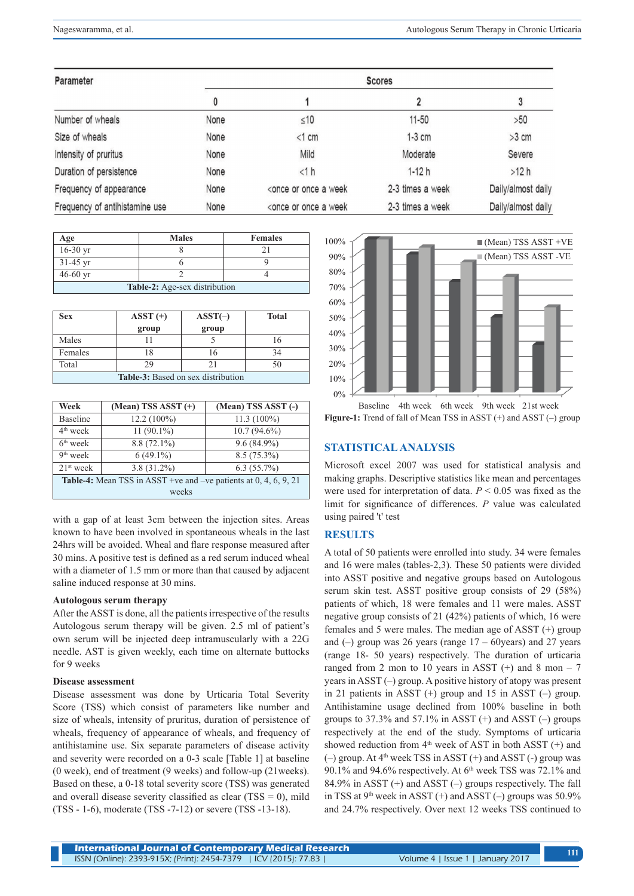| Parameter                      | <b>Scores</b> |                                                                                                     |                  |                    |
|--------------------------------|---------------|-----------------------------------------------------------------------------------------------------|------------------|--------------------|
|                                | 0             |                                                                                                     |                  | 3                  |
| Number of wheals               | None          | $\leq 10$                                                                                           | $11 - 50$        | >50                |
| Size of wheals                 | None          | $<1$ cm                                                                                             | $1-3$ cm         | $>3$ cm            |
| Intensity of pruritus          | None          | Mild                                                                                                | Moderate         | Severe             |
| Duration of persistence        | None          | <1 h                                                                                                | $1 - 12h$        | >12 h              |
| Frequency of appearance        | None          | <once a="" once="" or="" td="" week<=""><td>2-3 times a week</td><td>Daily/almost daily</td></once> | 2-3 times a week | Daily/almost daily |
| Frequency of antihistamine use | None          | <once a="" once="" or="" td="" week<=""><td>2-3 times a week</td><td>Daily/almost daily</td></once> | 2-3 times a week | Daily/almost daily |

| Age                           | <b>Males</b> | <b>Females</b> |  |  |
|-------------------------------|--------------|----------------|--|--|
| 16-30 yr                      |              |                |  |  |
| $31-45$ yr                    |              |                |  |  |
| $46 - 60$ yr                  |              |                |  |  |
| Table-2: Age-sex distribution |              |                |  |  |

| Sex                                       | $ASST (+)$ | $ASST(-)$ | <b>Total</b> |  |
|-------------------------------------------|------------|-----------|--------------|--|
|                                           | group      | group     |              |  |
| Males                                     |            |           | 16           |  |
| Females                                   | 18         |           | 34           |  |
| Total                                     | 29         |           | 50           |  |
| <b>Table-3:</b> Based on sex distribution |            |           |              |  |

| Week                                                               | $(Mean) TSS ASST (+)$ | (Mean) TSS ASST (-) |  |  |
|--------------------------------------------------------------------|-----------------------|---------------------|--|--|
| <b>Baseline</b>                                                    | $12.2(100\%)$         | $11.3(100\%)$       |  |  |
| $4th$ week                                                         | $11(90.1\%)$          | $10.7(94.6\%)$      |  |  |
| $6th$ week                                                         | $8.8(72.1\%)$         | $9.6(84.9\%)$       |  |  |
| $9th$ week                                                         | $6(49.1\%)$           | $8.5(75.3\%)$       |  |  |
| $21st$ week                                                        | $3.8(31.2\%)$         | $6.3(55.7\%)$       |  |  |
| Table-4: Mean TSS in ASST +ve and -ve patients at $0, 4, 6, 9, 21$ |                       |                     |  |  |
| weeks                                                              |                       |                     |  |  |

with a gap of at least 3cm between the injection sites. Areas known to have been involved in spontaneous wheals in the last 24hrs will be avoided. Wheal and flare response measured after 30 mins. A positive test is defined as a red serum induced wheal with a diameter of 1.5 mm or more than that caused by adjacent saline induced response at 30 mins.

## **Autologous serum therapy**

After the ASST is done, all the patients irrespective of the results Autologous serum therapy will be given. 2.5 ml of patient's own serum will be injected deep intramuscularly with a 22G needle. AST is given weekly, each time on alternate buttocks for 9 weeks

#### **Disease assessment**

Disease assessment was done by Urticaria Total Severity Score (TSS) which consist of parameters like number and size of wheals, intensity of pruritus, duration of persistence of wheals, frequency of appearance of wheals, and frequency of antihistamine use. Six separate parameters of disease activity and severity were recorded on a 0-3 scale [Table 1] at baseline (0 week), end of treatment (9 weeks) and follow-up (21weeks). Based on these, a 0-18 total severity score (TSS) was generated and overall disease severity classified as clear  $(TSS = 0)$ , mild (TSS - 1-6), moderate (TSS -7-12) or severe (TSS -13-18).



Baseline 4th week 6th week 9th week 21st week **Figure-1:** Trend of fall of Mean TSS in ASST (+) and ASST (-) group

# **STATISTICAL ANALYSIS**

Microsoft excel 2007 was used for statistical analysis and making graphs. Descriptive statistics like mean and percentages were used for interpretation of data. *P* < 0.05 was fixed as the limit for significance of differences. *P* value was calculated using paired 't' test

## **RESULTS**

A total of 50 patients were enrolled into study. 34 were females and 16 were males (tables-2,3). These 50 patients were divided into ASST positive and negative groups based on Autologous serum skin test. ASST positive group consists of 29 (58%) patients of which, 18 were females and 11 were males. ASST negative group consists of 21 (42%) patients of which, 16 were females and 5 were males. The median age of ASST (+) group and  $(-)$  group was 26 years (range  $17 - 60$ years) and 27 years (range 18- 50 years) respectively. The duration of urticaria ranged from 2 mon to 10 years in ASST  $(+)$  and 8 mon – 7 years in ASST (–) group. A positive history of atopy was present in 21 patients in ASST (+) group and 15 in ASST (–) group. Antihistamine usage declined from 100% baseline in both groups to  $37.3\%$  and  $57.1\%$  in ASST (+) and ASST (-) groups respectively at the end of the study. Symptoms of urticaria showed reduction from  $4<sup>th</sup>$  week of AST in both ASST (+) and  $(-)$  group. At  $4<sup>th</sup>$  week TSS in ASST  $(+)$  and ASST  $(-)$  group was 90.1% and 94.6% respectively. At  $6<sup>th</sup>$  week TSS was 72.1% and 84.9% in ASST (+) and ASST (–) groups respectively. The fall in TSS at  $9<sup>th</sup>$  week in ASST (+) and ASST (-) groups was 50.9% and 24.7% respectively. Over next 12 weeks TSS continued to